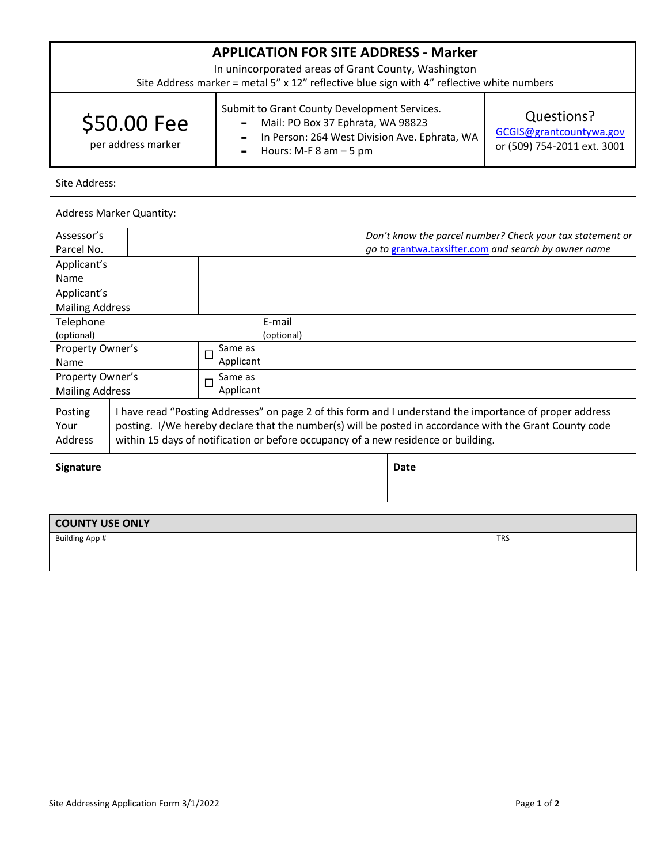| <b>APPLICATION FOR SITE ADDRESS - Marker</b><br>In unincorporated areas of Grant County, Washington<br>Site Address marker = metal 5" x 12" reflective blue sign with 4" reflective white numbers |                                                                                                                                                                                                                                                                                                           |                                                                                                                |                      |  |                                               |                                                                                                                   |                                                                      |
|---------------------------------------------------------------------------------------------------------------------------------------------------------------------------------------------------|-----------------------------------------------------------------------------------------------------------------------------------------------------------------------------------------------------------------------------------------------------------------------------------------------------------|----------------------------------------------------------------------------------------------------------------|----------------------|--|-----------------------------------------------|-------------------------------------------------------------------------------------------------------------------|----------------------------------------------------------------------|
|                                                                                                                                                                                                   | \$50.00 Fee<br>per address marker                                                                                                                                                                                                                                                                         | Submit to Grant County Development Services.<br>Mail: PO Box 37 Ephrata, WA 98823<br>Hours: M-F $8$ am $-5$ pm |                      |  | In Person: 264 West Division Ave. Ephrata, WA |                                                                                                                   | Questions?<br>GCGIS@grantcountywa.gov<br>or (509) 754-2011 ext. 3001 |
| Site Address:                                                                                                                                                                                     |                                                                                                                                                                                                                                                                                                           |                                                                                                                |                      |  |                                               |                                                                                                                   |                                                                      |
| <b>Address Marker Quantity:</b>                                                                                                                                                                   |                                                                                                                                                                                                                                                                                                           |                                                                                                                |                      |  |                                               |                                                                                                                   |                                                                      |
| Assessor's<br>Parcel No.<br>Applicant's                                                                                                                                                           |                                                                                                                                                                                                                                                                                                           |                                                                                                                |                      |  |                                               | Don't know the parcel number? Check your tax statement or<br>go to grantwa.taxsifter.com and search by owner name |                                                                      |
| Name                                                                                                                                                                                              |                                                                                                                                                                                                                                                                                                           |                                                                                                                |                      |  |                                               |                                                                                                                   |                                                                      |
| Applicant's<br><b>Mailing Address</b>                                                                                                                                                             |                                                                                                                                                                                                                                                                                                           |                                                                                                                |                      |  |                                               |                                                                                                                   |                                                                      |
| Telephone<br>(optional)                                                                                                                                                                           |                                                                                                                                                                                                                                                                                                           |                                                                                                                | E-mail<br>(optional) |  |                                               |                                                                                                                   |                                                                      |
| Property Owner's<br>Name                                                                                                                                                                          |                                                                                                                                                                                                                                                                                                           | Same as<br>П<br>Applicant                                                                                      |                      |  |                                               |                                                                                                                   |                                                                      |
| Property Owner's<br><b>Mailing Address</b>                                                                                                                                                        |                                                                                                                                                                                                                                                                                                           | Same as<br>П<br>Applicant                                                                                      |                      |  |                                               |                                                                                                                   |                                                                      |
| Posting<br>Your<br>Address                                                                                                                                                                        | I have read "Posting Addresses" on page 2 of this form and I understand the importance of proper address<br>posting. I/We hereby declare that the number(s) will be posted in accordance with the Grant County code<br>within 15 days of notification or before occupancy of a new residence or building. |                                                                                                                |                      |  |                                               |                                                                                                                   |                                                                      |
| <b>Signature</b>                                                                                                                                                                                  |                                                                                                                                                                                                                                                                                                           |                                                                                                                |                      |  |                                               | Date                                                                                                              |                                                                      |
| <b>COUNTY USE ONLY</b>                                                                                                                                                                            |                                                                                                                                                                                                                                                                                                           |                                                                                                                |                      |  |                                               |                                                                                                                   |                                                                      |
| <b>Building App #</b>                                                                                                                                                                             |                                                                                                                                                                                                                                                                                                           |                                                                                                                |                      |  |                                               |                                                                                                                   | <b>TRS</b>                                                           |